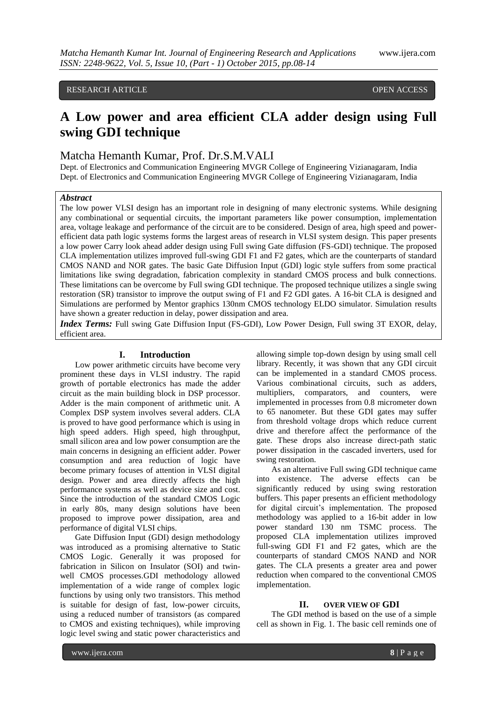# RESEARCH ARTICLE **CONSERVERS** OPEN ACCESS **OPEN ACCESS**

# **A Low power and area efficient CLA adder design using Full swing GDI technique**

# Matcha Hemanth Kumar, Prof. Dr.S.M.VALI

Dept. of Electronics and Communication Engineering MVGR College of Engineering Vizianagaram, India Dept. of Electronics and Communication Engineering MVGR College of Engineering Vizianagaram, India

### *Abstract*

The low power VLSI design has an important role in designing of many electronic systems. While designing any combinational or sequential circuits, the important parameters like power consumption, implementation area, voltage leakage and performance of the circuit are to be considered. Design of area, high speed and powerefficient data path logic systems forms the largest areas of research in VLSI system design. This paper presents a low power Carry look ahead adder design using Full swing Gate diffusion (FS-GDI) technique. The proposed CLA implementation utilizes improved full-swing GDI F1 and F2 gates, which are the counterparts of standard CMOS NAND and NOR gates. The basic Gate Diffusion Input (GDI) logic style suffers from some practical limitations like swing degradation, fabrication complexity in standard CMOS process and bulk connections. These limitations can be overcome by Full swing GDI technique. The proposed technique utilizes a single swing restoration (SR) transistor to improve the output swing of F1 and F2 GDI gates. A 16-bit CLA is designed and Simulations are performed by Mentor graphics 130nm CMOS technology ELDO simulator. Simulation results have shown a greater reduction in delay, power dissipation and area.

*Index Terms:* Full swing Gate Diffusion Input (FS-GDI), Low Power Design, Full swing 3T EXOR, delay, efficient area.

#### **I. Introduction**

Low power arithmetic circuits have become very prominent these days in VLSI industry. The rapid growth of portable electronics has made the adder circuit as the main building block in DSP processor. Adder is the main component of arithmetic unit. A Complex DSP system involves several adders. CLA is proved to have good performance which is using in high speed adders. High speed, high throughput, small silicon area and low power consumption are the main concerns in designing an efficient adder. Power consumption and area reduction of logic have become primary focuses of attention in VLSI digital design. Power and area directly affects the high performance systems as well as device size and cost. Since the introduction of the standard CMOS Logic in early 80s, many design solutions have been proposed to improve power dissipation, area and performance of digital VLSI chips.

Gate Diffusion Input (GDI) design methodology was introduced as a promising alternative to Static CMOS Logic. Generally it was proposed for fabrication in Silicon on Insulator (SOI) and twinwell CMOS processes.GDI methodology allowed implementation of a wide range of complex logic functions by using only two transistors. This method is suitable for design of fast, low-power circuits, using a reduced number of transistors (as compared to CMOS and existing techniques), while improving logic level swing and static power characteristics and

allowing simple top-down design by using small cell library. Recently, it was shown that any GDI circuit can be implemented in a standard CMOS process. Various combinational circuits, such as adders, multipliers, comparators, and counters, were implemented in processes from 0.8 micrometer down to 65 nanometer. But these GDI gates may suffer from threshold voltage drops which reduce current drive and therefore affect the performance of the gate. These drops also increase direct-path static power dissipation in the cascaded inverters, used for swing restoration.

As an alternative Full swing GDI technique came into existence. The adverse effects can be significantly reduced by using swing restoration buffers. This paper presents an efficient methodology for digital circuit's implementation. The proposed methodology was applied to a 16-bit adder in low power standard 130 nm TSMC process. The proposed CLA implementation utilizes improved full-swing GDI F1 and F2 gates, which are the counterparts of standard CMOS NAND and NOR gates. The CLA presents a greater area and power reduction when compared to the conventional CMOS implementation.

#### **II. OVER VIEW OF GDI**

The GDI method is based on the use of a simple cell as shown in Fig. 1. The basic cell reminds one of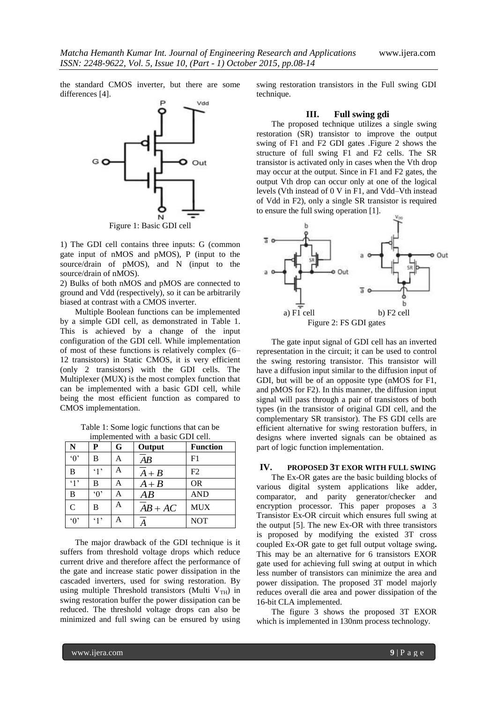the standard CMOS inverter, but there are some differences [4].



Figure 1: Basic GDI cell

1) The GDI cell contains three inputs: G (common gate input of nMOS and pMOS), P (input to the source/drain of pMOS), and N (input to the source/drain of nMOS).

2) Bulks of both nMOS and pMOS are connected to ground and Vdd (respectively), so it can be arbitrarily biased at contrast with a CMOS inverter.

Multiple Boolean functions can be implemented by a simple GDI cell, as demonstrated in Table 1. This is achieved by a change of the input configuration of the GDI cell. While implementation of most of these functions is relatively complex (6– 12 transistors) in Static CMOS, it is very efficient (only 2 transistors) with the GDI cells. The Multiplexer (MUX) is the most complex function that can be implemented with a basic GDI cell, while being the most efficient function as compared to CMOS implementation.

| Table 1: Some logic functions that can be |  |
|-------------------------------------------|--|
| implemented with a basic GDI cell.        |  |

| N              | P          | G | Output             | <b>Function</b> |
|----------------|------------|---|--------------------|-----------------|
| $\lq 0$        | B          | A | $\overline{AB}$    | F1              |
| B              | $\cdot$ 1' | A | $\overline{A} + B$ | F2              |
| $\cdot_1$ ,    | B          | A | $A + B$            | <b>OR</b>       |
| B              | $\Omega$   | A | AB                 | <b>AND</b>      |
| $\overline{C}$ | B          | A | $AB+AC$            | <b>MUX</b>      |
| $\Omega$       | $\cdot$ 1' | A | А                  | <b>NOT</b>      |

The major drawback of the GDI technique is it suffers from threshold voltage drops which reduce current drive and therefore affect the performance of the gate and increase static power dissipation in the cascaded inverters, used for swing restoration. By using multiple Threshold transistors (Multi  $V_{TH}$ ) in swing restoration buffer the power dissipation can be reduced. The threshold voltage drops can also be minimized and full swing can be ensured by using swing restoration transistors in the Full swing GDI technique.

### **III. Full swing gdi**

The proposed technique utilizes a single swing restoration (SR) transistor to improve the output swing of F1 and F2 GDI gates .Figure 2 shows the structure of full swing F1 and F2 cells. The SR transistor is activated only in cases when the Vth drop may occur at the output. Since in F1 and F2 gates, the output Vth drop can occur only at one of the logical levels (Vth instead of 0 V in F1, and Vdd–Vth instead of Vdd in F2), only a single SR transistor is required to ensure the full swing operation [1].



The gate input signal of GDI cell has an inverted representation in the circuit; it can be used to control the swing restoring transistor. This transistor will have a diffusion input similar to the diffusion input of GDI, but will be of an opposite type (nMOS for F1, and pMOS for F2). In this manner, the diffusion input signal will pass through a pair of transistors of both types (in the transistor of original GDI cell, and the complementary SR transistor). The FS GDI cells are efficient alternative for swing restoration buffers, in designs where inverted signals can be obtained as part of logic function implementation.

#### **IV. PROPOSED 3T EXOR WITH FULL SWING**

The Ex-OR gates are the basic building blocks of various digital system applications like adder, comparator, and parity generator/checker and encryption processor. This paper proposes a 3 Transistor Ex-OR circuit which ensures full swing at the output [5]. The new Ex-OR with three transistors is proposed by modifying the existed 3T cross coupled Ex-OR gate to get full output voltage swing**.**  This may be an alternative for 6 transistors EXOR gate used for achieving full swing at output in which less number of transistors can minimize the area and power dissipation. The proposed 3T model majorly reduces overall die area and power dissipation of the 16-bit CLA implemented.

The figure 3 shows the proposed 3T EXOR which is implemented in 130nm process technology.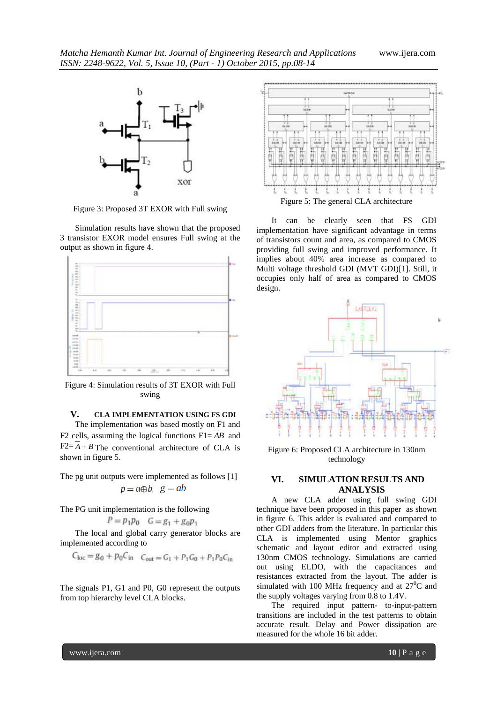

Figure 3: Proposed 3T EXOR with Full swing

Simulation results have shown that the proposed 3 transistor EXOR model ensures Full swing at the output as shown in figure 4.



Figure 4: Simulation results of 3T EXOR with Full swing

# **V. CLA IMPLEMENTATION USING FS GDI**

The implementation was based mostly on F1 and F2 cells, assuming the logical functions F1= *AB* and  $F2 = A + B$  The conventional architecture of CLA is shown in figure 5.

The pg unit outputs were implemented as follows [1]  $p = a \oplus b$ ,  $g = ab$ 

The PG unit implementation is the following

$$
P = p_1 p_0 \quad G = g_1 + g_0 p_1
$$

The local and global carry generator blocks are implemented according to

$$
C_{\text{loc}} = g_0 + p_0 C_{\text{in}}
$$
  $C_{\text{out}} = G_1 + P_1 G_0 + P_1 P_0 C_{\text{in}}$ 

The signals P1, G1 and P0, G0 represent the outputs from top hierarchy level CLA blocks.



It can be clearly seen that FS GDI implementation have significant advantage in terms of transistors count and area, as compared to CMOS providing full swing and improved performance. It implies about 40% area increase as compared to Multi voltage threshold GDI (MVT GDI)[1]. Still, it occupies only half of area as compared to CMOS design.



Figure 6: Proposed CLA architecture in 130nm technology

### **VI. SIMULATION RESULTS AND ANALYSIS**

A new CLA adder using full swing GDI technique have been proposed in this paper as shown in figure 6. This adder is evaluated and compared to other GDI adders from the literature. In particular this CLA is implemented using Mentor graphics schematic and layout editor and extracted using 130nm CMOS technology. Simulations are carried out using ELDO, with the capacitances and resistances extracted from the layout. The adder is simulated with 100 MHz frequency and at  $27^{\circ}$ C and the supply voltages varying from 0.8 to 1.4V.

The required input pattern- to-input-pattern transitions are included in the test patterns to obtain accurate result. Delay and Power dissipation are measured for the whole 16 bit adder.

www.ijera.com **10** | P a g e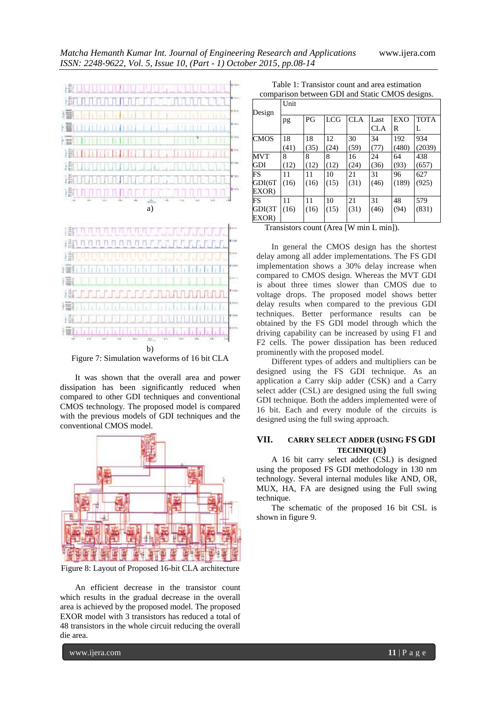

Figure 7: Simulation waveforms of 16 bit CLA

It was shown that the overall area and power dissipation has been significantly reduced when compared to other GDI techniques and conventional CMOS technology. The proposed model is compared with the previous models of GDI techniques and the conventional CMOS model.



Figure 8: Layout of Proposed 16-bit CLA architecture

An efficient decrease in the transistor count which results in the gradual decrease in the overall area is achieved by the proposed model. The proposed EXOR model with 3 transistors has reduced a total of 48 transistors in the whole circuit reducing the overall die area.

Table 1: Transistor count and area estimation comparison between GDI and Static CMOS designs.

| Design                                                                                                                    | Unit |      |            |            |                    |          |                  |  |
|---------------------------------------------------------------------------------------------------------------------------|------|------|------------|------------|--------------------|----------|------------------|--|
|                                                                                                                           | pg   | PG   | <b>LCG</b> | <b>CLA</b> | Last<br><b>CLA</b> | EXO<br>R | <b>TOTA</b><br>L |  |
| <b>CMOS</b>                                                                                                               | 18   | 18   | 12         | 30         | 34                 | 192      | 934              |  |
|                                                                                                                           | (41) | (35) | (24)       | (59)       | (77)               | (480)    | (2039)           |  |
| MVT                                                                                                                       | 8    | 8    | 8          | 16         | 24                 | 64       | 438              |  |
| GDI                                                                                                                       | (12) | (12) | (12)       | (24)       | (36)               | (93)     | (657)            |  |
| FS                                                                                                                        | 11   | 11   | 10         | 21         | 31                 | 96       | 627              |  |
| GDI(6T                                                                                                                    | (16) | (16) | (15)       | (31)       | (46)               | (189)    | (925)            |  |
| EXOR)                                                                                                                     |      |      |            |            |                    |          |                  |  |
| FS                                                                                                                        | 11   | 11   | 10         | 21         | 31                 | 48       | 579              |  |
| GDI(3T                                                                                                                    | (16) | (16) | (15)       | (31)       | (46)               | (94)     | (831)            |  |
| EXOR)                                                                                                                     |      |      |            |            |                    |          |                  |  |
| and the company<br>$\ldots$ 1.15 $\ldots$ 1.5 $\ldots$<br>$\mathbf{H}$<br>m.<br>$\sim$ $\sim$ $\sim$ $\sim$ $\sim$ $\sim$ |      |      |            |            |                    |          |                  |  |

Transistors count (Area [W min L min]).

In general the CMOS design has the shortest delay among all adder implementations. The FS GDI implementation shows a 30% delay increase when compared to CMOS design. Whereas the MVT GDI is about three times slower than CMOS due to voltage drops. The proposed model shows better delay results when compared to the previous GDI techniques. Better performance results can be obtained by the FS GDI model through which the driving capability can be increased by using F1 and F2 cells. The power dissipation has been reduced prominently with the proposed model.

Different types of adders and multipliers can be designed using the FS GDI technique. As an application a Carry skip adder (CSK) and a Carry select adder (CSL) are designed using the full swing GDI technique. Both the adders implemented were of 16 bit. Each and every module of the circuits is designed using the full swing approach.

# **VII. CARRY SELECT ADDER (USING FS GDI TECHNIQUE)**

A 16 bit carry select adder (CSL) is designed using the proposed FS GDI methodology in 130 nm technology. Several internal modules like AND, OR, MUX, HA, FA are designed using the Full swing technique.

The schematic of the proposed 16 bit CSL is shown in figure 9.

www.ijera.com **11** | P a g e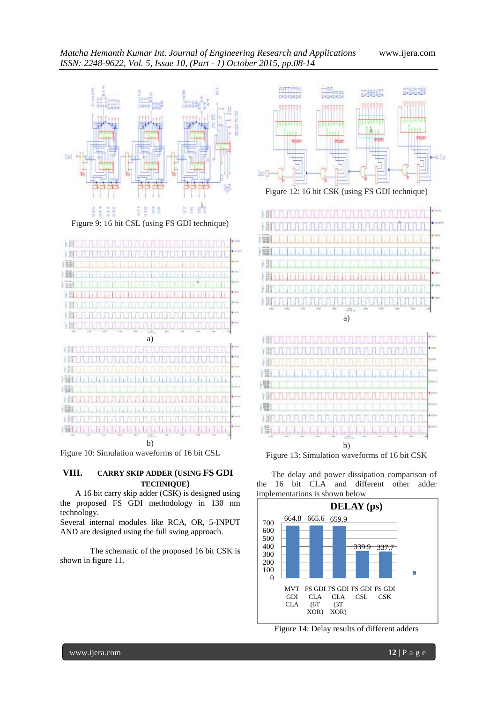





Figure 10: Simulation waveforms of 16 bit CSL

# **VIII. CARRY SKIP ADDER (USING FS GDI TECHNIQUE)**

A 16 bit carry skip adder (CSK) is designed using the proposed FS GDI methodology in 130 nm technology.

Several internal modules like RCA, OR, 5-INPUT AND are designed using the full swing approach.

The schematic of the proposed 16 bit CSK is shown in figure 11.



Figure 12: 16 bit CSK (using FS GDI technique)





湘

耳

THE REAL

The delay and power dissipation comparison of the 16 bit CLA and different other adder implementations is shown below



Figure 14: Delay results of different adders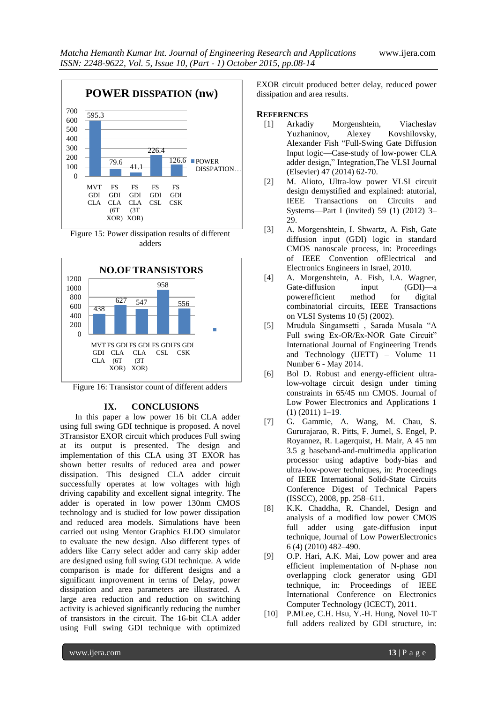

Figure 15: Power dissipation results of different adders



Figure 16: Transistor count of different adders

### **IX. CONCLUSIONS**

In this paper a low power 16 bit CLA adder using full swing GDI technique is proposed. A novel 3Transistor EXOR circuit which produces Full swing at its output is presented. The design and implementation of this CLA using 3T EXOR has shown better results of reduced area and power dissipation. This designed CLA adder circuit successfully operates at low voltages with high driving capability and excellent signal integrity. The adder is operated in low power 130nm CMOS technology and is studied for low power dissipation and reduced area models. Simulations have been carried out using Mentor Graphics ELDO simulator to evaluate the new design. Also different types of adders like Carry select adder and carry skip adder are designed using full swing GDI technique. A wide comparison is made for different designs and a significant improvement in terms of Delay, power dissipation and area parameters are illustrated. A large area reduction and reduction on switching activity is achieved significantly reducing the number of transistors in the circuit. The 16-bit CLA adder using Full swing GDI technique with optimized

EXOR circuit produced better delay, reduced power dissipation and area results.

### **REFERENCES**

- [1] Arkadiy Morgenshtein, Viacheslav Yuzhaninov, Alexey Kovshilovsky, Alexander Fish "Full-Swing Gate Diffusion Input logic—Case-study of low-power CLA adder design," Integration, The VLSI Journal (Elsevier) 47 (2014) 62-70.
- [2] M. Alioto, Ultra-low power VLSI circuit design demystified and explained: atutorial, IEEE Transactions on Circuits and Systems—Part I (invited) 59 (1) (2012) 3– 29.
- [3] A. Morgenshtein, I. Shwartz, A. Fish, Gate diffusion input (GDI) logic in standard CMOS nanoscale process, in: Proceedings of IEEE Convention ofElectrical and Electronics Engineers in Israel, 2010.
- [4] A. Morgenshtein, A. Fish, I.A. Wagner, Gate-diffusion input (GDI)—a powerefficient method for digital combinatorial circuits, IEEE Transactions on VLSI Systems 10 (5) (2002).
- [5] Mrudula Singamsetti, Sarada Musala "A Full swing Ex-OR/Ex-NOR Gate Circuit" International Journal of Engineering Trends and Technology (IJETT) – Volume 11 Number 6 - May 2014.
- [6] Bol D. Robust and energy-efficient ultralow-voltage circuit design under timing constraints in 65/45 nm CMOS. Journal of Low Power Electronics and Applications 1 (1) (2011) 1–19.
- [7] G. Gammie, A. Wang, M. Chau, S. Gururajarao, R. Pitts, F. Jumel, S. Engel, P. Royannez, R. Lagerquist, H. Mair, A 45 nm 3.5 g baseband-and-multimedia application processor using adaptive body-bias and ultra-low-power techniques, in: Proceedings of IEEE International Solid-State Circuits Conference Digest of Technical Papers (ISSCC), 2008, pp. 258–611.
- [8] K.K. Chaddha, R. Chandel, Design and analysis of a modified low power CMOS full adder using gate-diffusion input technique, Journal of Low PowerElectronics 6 (4) (2010) 482–490.
- [9] O.P. Hari, A.K. Mai, Low power and area efficient implementation of N-phase non overlapping clock generator using GDI technique, in: Proceedings of IEEE International Conference on Electronics Computer Technology (ICECT), 2011.
- [10] P.MLee, C.H. Hsu, Y.-H. Hung, Novel 10-T full adders realized by GDI structure, in: